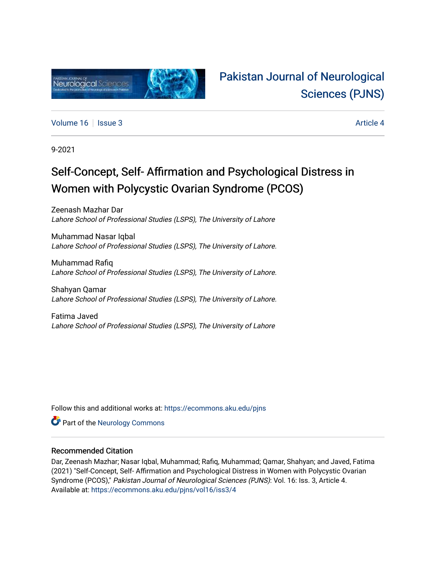

## [Pakistan Journal of Neurological](https://ecommons.aku.edu/pjns)  [Sciences \(PJNS\)](https://ecommons.aku.edu/pjns)

[Volume 16](https://ecommons.aku.edu/pjns/vol16) September 2014 19:00 19:00 19:00 19:00 19:00 19:00 19:00 19:00 19:00 19:00 19:00 19:00 19:00 19:00 1

9-2021

# Self-Concept, Self- Affirmation and Psychological Distress in Women with Polycystic Ovarian Syndrome (PCOS)

Zeenash Mazhar Dar Lahore School of Professional Studies (LSPS), The University of Lahore

Muhammad Nasar Iqbal Lahore School of Professional Studies (LSPS), The University of Lahore.

Muhammad Rafiq Lahore School of Professional Studies (LSPS), The University of Lahore.

Shahyan Qamar Lahore School of Professional Studies (LSPS), The University of Lahore.

Fatima Javed Lahore School of Professional Studies (LSPS), The University of Lahore

Follow this and additional works at: [https://ecommons.aku.edu/pjns](https://ecommons.aku.edu/pjns?utm_source=ecommons.aku.edu%2Fpjns%2Fvol16%2Fiss3%2F4&utm_medium=PDF&utm_campaign=PDFCoverPages) 

**Part of the [Neurology Commons](http://network.bepress.com/hgg/discipline/692?utm_source=ecommons.aku.edu%2Fpjns%2Fvol16%2Fiss3%2F4&utm_medium=PDF&utm_campaign=PDFCoverPages)** 

### Recommended Citation

Dar, Zeenash Mazhar; Nasar Iqbal, Muhammad; Rafiq, Muhammad; Qamar, Shahyan; and Javed, Fatima (2021) "Self-Concept, Self- Affirmation and Psychological Distress in Women with Polycystic Ovarian Syndrome (PCOS)," Pakistan Journal of Neurological Sciences (PJNS): Vol. 16: Iss. 3, Article 4. Available at: [https://ecommons.aku.edu/pjns/vol16/iss3/4](https://ecommons.aku.edu/pjns/vol16/iss3/4?utm_source=ecommons.aku.edu%2Fpjns%2Fvol16%2Fiss3%2F4&utm_medium=PDF&utm_campaign=PDFCoverPages)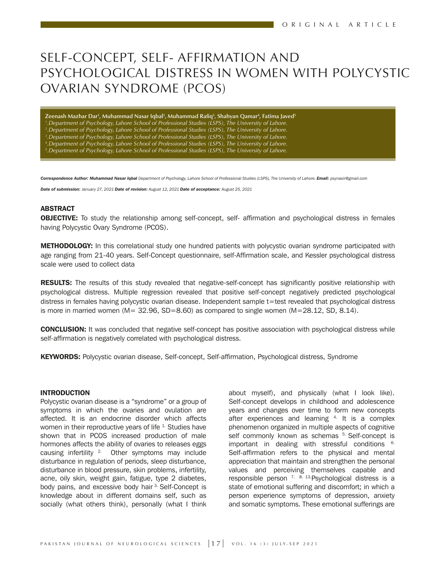### SELF-CONCEPT, SELF- AFFIRMATION AND PSYCHOLOGICAL DISTRESS IN WOMEN WITH POLYCYSTIC OVARIAN SYNDROME (PCOS)

**Zeenash Mazhar Dar1 , Muhammad Nasar Iqbal2 , Muhammad Raq3 , Shahyan Qamar4 , Fatima Javed5** *.Department of Psychology, Lahore School of Professional Studies (LSPS), The University of Lahore. .Department of Psychology, Lahore School of Professional Studies (LSPS), The University of Lahore. .Department of Psychology, Lahore School of Professional Studies (LSPS), The University of Lahore. .Department of Psychology, Lahore School of Professional Studies (LSPS), The University of Lahore. .Department of Psychology, Lahore School of Professional Studies (LSPS), The University of Lahore.* 

*Correspondence Author: Muhammad Nasar Iqbal Department of Psychology, Lahore School of Professional Studies (LSPS), The University of Lahore. Email: psynasir@gmail.com* 

*Date of submission: January 27, 2021 Date of revision: August 12, 2021 Date of acceptance: August 25, 2021*

#### ABSTRACT

**OBJECTIVE:** To study the relationship among self-concept, self- affirmation and psychological distress in females having Polycystic Ovary Syndrome (PCOS).

**METHODOLOGY:** In this correlational study one hundred patients with polycystic ovarian syndrome participated with age ranging from 21-40 years. Self-Concept questionnaire, self-Affirmation scale, and Kessler psychological distress scale were used to collect data

RESULTS: The results of this study revealed that negative-self-concept has significantly positive relationship with psychological distress. Multiple regression revealed that positive self-concept negatively predicted psychological distress in females having polycystic ovarian disease. Independent sample t=test revealed that psychological distress is more in married women  $(M= 32.96, SD=8.60)$  as compared to single women  $(M=28.12, SD, 8.14)$ .

CONCLUSION: It was concluded that negative self-concept has positive association with psychological distress while self-affirmation is negatively correlated with psychological distress.

**KEYWORDS:** Polycystic ovarian disease, Self-concept, Self-affirmation, Psychological distress, Syndrome

#### INTRODUCTION

Polycystic ovarian disease is a "syndrome" or a group of symptoms in which the ovaries and ovulation are affected. It is an endocrine disorder which affects women in their reproductive years of life <sup>1</sup>. Studies have shown that in PCOS increased production of male hormones affects the ability of ovaries to releases eggs causing infertility  $2$ . Other symptoms may include disturbance in regulation of periods, sleep disturbance, disturbance in blood pressure, skin problems, infertility, acne, oily skin, weight gain, fatigue, type 2 diabetes, body pains, and excessive body hair <sup>3.</sup> Self-Concept is knowledge about in different domains self, such as socially (what others think), personally (what I think

about myself), and physically (what I look like). Self-concept develops in childhood and adolescence years and changes over time to form new concepts after experiences and learning  $4$  It is a complex phenomenon organized in multiple aspects of cognitive self commonly known as schemas <sup>5.</sup> Self-concept is important in dealing with stressful conditions 6. Self-affirmation refers to the physical and mental appreciation that maintain and strengthen the personal values and perceiving themselves capable and responsible person  $7.813$ . Psychological distress is a state of emotional suffering and discomfort; in which a person experience symptoms of depression, anxiety and somatic symptoms. These emotional sufferings are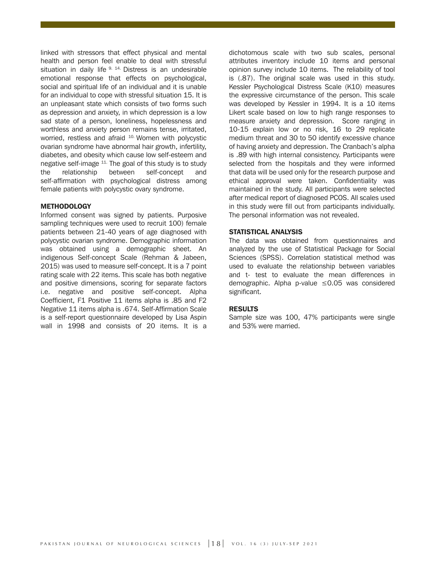linked with stressors that effect physical and mental health and person feel enable to deal with stressful situation in daily life  $9.14$ . Distress is an undesirable emotional response that effects on psychological, social and spiritual life of an individual and it is unable for an individual to cope with stressful situation 15. It is an unpleasant state which consists of two forms such as depression and anxiety, in which depression is a low sad state of a person, loneliness, hopelessness and worthless and anxiety person remains tense, irritated, worried, restless and afraid <sup>10.</sup> Women with polycystic ovarian syndrome have abnormal hair growth, infertility, diabetes, and obesity which cause low self-esteem and negative self-image 11. The goal of this study is to study the relationship between self-concept and self-affirmation with psychological distress among female patients with polycystic ovary syndrome.

#### **METHODOLOGY**

Informed consent was signed by patients. Purposive sampling techniques were used to recruit 100) female patients between 21-40 years of age diagnosed with polycystic ovarian syndrome. Demographic information was obtained using a demographic sheet. An indigenous Self-concept Scale (Rehman & Jabeen, 2015) was used to measure self-concept. It is a 7 point rating scale with 22 items. This scale has both negative and positive dimensions, scoring for separate factors i.e. negative and positive self-concept. Alpha Coefficient, F1 Positive 11 items alpha is .85 and F2 Negative 11 items alpha is .674. Self-Affirmation Scale is a self-report questionnaire developed by Lisa Aspin wall in 1998 and consists of 20 items. It is a

dichotomous scale with two sub scales, personal attributes inventory include 10 items and personal opinion survey include 10 items. The reliability of tool is (.87). The original scale was used in this study. Kessler Psychological Distress Scale (K10) measures the expressive circumstance of the person. This scale was developed by Kessler in 1994. It is a 10 items Likert scale based on low to high range responses to measure anxiety and depression. Score ranging in 10-15 explain low or no risk, 16 to 29 replicate medium threat and 30 to 50 identify excessive chance of having anxiety and depression. The Cranbach's alpha is .89 with high internal consistency. Participants were selected from the hospitals and they were informed that data will be used only for the research purpose and ethical approval were taken. Confidentiality was maintained in the study. All participants were selected after medical report of diagnosed PCOS. All scales used in this study were fill out from participants individually. The personal information was not revealed.

#### STATISTICAL ANALYSIS

The data was obtained from questionnaires and analyzed by the use of Statistical Package for Social Sciences (SPSS). Correlation statistical method was used to evaluate the relationship between variables and t- test to evaluate the mean differences in demographic. Alpha p-value ≤0.05 was considered significant.

#### **RESULTS**

Sample size was 100, 47% participants were single and 53% were married.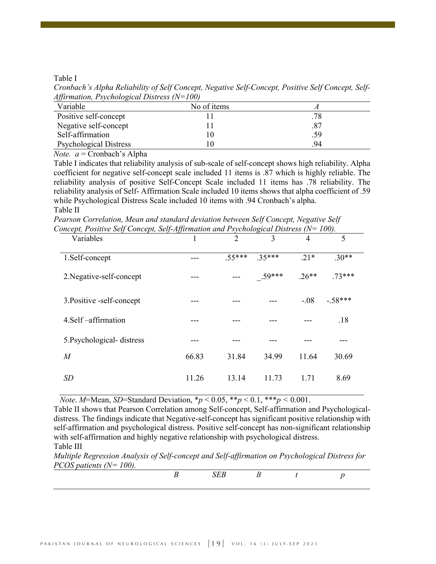Table I

*Cronbach's Alpha Reliability of Self Concept, Negative Self-Concept, Positive Self Concept, Self-Affirmation, Psychological Distress (N=100)*

| Variable                      | No of items |     |
|-------------------------------|-------------|-----|
| Positive self-concept         |             | .78 |
| Negative self-concept         |             | .87 |
| Self-affirmation              |             | .59 |
| <b>Psychological Distress</b> |             | 94  |

*Note. a* = Cronbach's Alpha

Table I indicates that reliability analysis of sub-scale of self-concept shows high reliability. Alpha coefficient for negative self-concept scale included 11 items is .87 which is highly reliable. The reliability analysis of positive Self-Concept Scale included 11 items has .78 reliability. The reliability analysis of Self- Affirmation Scale included 10 items shows that alpha coefficient of .59 while Psychological Distress Scale included 10 items with .94 Cronbach's alpha. Table II

*Pearson Correlation, Mean and standard deviation between Self Concept, Negative Self Concept, Positive Self Concept, Self-Affirmation and Psychological Distress (N= 100).*

| Variables                 |       | 2        | 3        | 4       | 5         |
|---------------------------|-------|----------|----------|---------|-----------|
| 1.Self-concept            |       | $.55***$ | $.35***$ | $.21*$  | $.30**$   |
| 2. Negative-self-concept  |       |          | $.59***$ | $.26**$ | $73***$   |
| 3. Positive -self-concept |       |          |          | $-.08$  | $-.58***$ |
| 4. Self – affirmation     |       |          |          |         | .18       |
| 5. Psychological-distress |       |          |          |         |           |
| $\boldsymbol{M}$          | 66.83 | 31.84    | 34.99    | 11.64   | 30.69     |
| <b>SD</b>                 | 11.26 | 13.14    | 11.73    | 1.71    | 8.69      |

*Note*. *M*=Mean, *SD*=Standard Deviation,  $* p < 0.05$ ,  $* p < 0.1$ ,  $* p < 0.001$ .

Table II shows that Pearson Correlation among Self-concept, Self-affirmation and Psychologicaldistress. The findings indicate that Negative-self-concept has significant positive relationship with self-affirmation and psychological distress. Positive self-concept has non-significant relationship with self-affirmation and highly negative relationship with psychological distress. Table III

*Multiple Regression Analysis of Self-concept and Self-affirmation on Psychological Distress for PCOS patients (N= 100).*

| $1 \text{ COD}$ puttents $11 - 100$ . |  |  |  |
|---------------------------------------|--|--|--|
|                                       |  |  |  |
|                                       |  |  |  |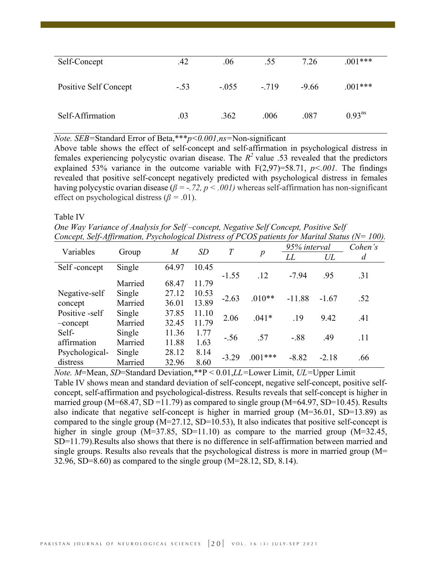| Self-Concept          | .42    | .06     | .55    | 7.26    | $.001***$   |
|-----------------------|--------|---------|--------|---------|-------------|
| Positive Self Concept | $-.53$ | $-.055$ | $-719$ | $-9.66$ | $.001***$   |
| Self-Affirmation      | .03    | .362    | .006   | .087    | $0.93^{ns}$ |

*Note. SEB=*Standard Error of Beta,\*\*\**p<0.001,ns=*Non-significant

Above table shows the effect of self-concept and self-affirmation in psychological distress in females experiencing polycystic ovarian disease. The  $R^2$  value .53 revealed that the predictors explained 53% variance in the outcome variable with  $F(2,97)=58.71$ ,  $p<.001$ . The findings revealed that positive self-concept negatively predicted with psychological distress in females having polycystic ovarian disease ( $\beta$  = -.72,  $p < .001$ ) whereas self-affirmation has non-significant effect on psychological distress ( $\beta$  = .01).

Table IV

*One Way Variance of Analysis for Self –concept, Negative Self Concept, Positive Self Concept, Self-Affirmation, Psychological Distress of PCOS patients for Marital Status (N= 100).*

| Variables      | Group   | $\overline{M}$ | SD    | $\overline{T}$ | $\boldsymbol{p}$ | 95% interval |         | Cohen's        |
|----------------|---------|----------------|-------|----------------|------------------|--------------|---------|----------------|
|                |         |                |       |                |                  | LL           | UL      | $\overline{d}$ |
| Self-concept   | Single  | 64.97          | 10.45 |                |                  |              |         |                |
|                |         |                |       | $-1.55$        | .12              | $-7.94$      | .95     | .31            |
|                | Married | 68.47          | 11.79 |                |                  |              |         |                |
| Negative-self  | Single  | 27.12          | 10.53 | $-2.63$        | $.010**$         | $-11.88$     | $-1.67$ | .52            |
| concept        | Married | 36.01          | 13.89 |                |                  |              |         |                |
| Positive -self | Single  | 37.85          | 11.10 | 2.06           | $.041*$          | .19          | 9.42    | .41            |
| -concept       | Married | 32.45          | 11.79 |                |                  |              |         |                |
| Self-          | Single  | 11.36          | 1.77  | $-.56$         | .57              | $-.88$       | .49     | .11            |
| affirmation    | Married | 11.88          | 1.63  |                |                  |              |         |                |
| Psychological- | Single  | 28.12          | 8.14  | $-3.29$        | $.001***$        | $-8.82$      | $-2.18$ | .66            |
| distress       | Married | 32.96          | 8.60  |                |                  |              |         |                |

*Note. M*=Mean, *SD*=Standard Deviation,\*\*P < 0.01,*LL=*Lower Limit, *UL=*Upper Limit Table IV shows mean and standard deviation of self-concept, negative self-concept, positive selfconcept, self-affirmation and psychological-distress. Results reveals that self-concept is higher in married group (M=68.47, SD =11.79) as compared to single group (M=64.97, SD=10.45). Results also indicate that negative self-concept is higher in married group (M=36.01, SD=13.89) as compared to the single group (M=27.12, SD=10.53), It also indicates that positive self-concept is higher in single group  $(M=37.85, SD=11.10)$  as compare to the married group  $(M=32.45,$ SD=11.79).Results also shows that there is no difference in self-affirmation between married and single groups. Results also reveals that the psychological distress is more in married group (M= 32.96, SD=8.60) as compared to the single group (M=28.12, SD, 8.14).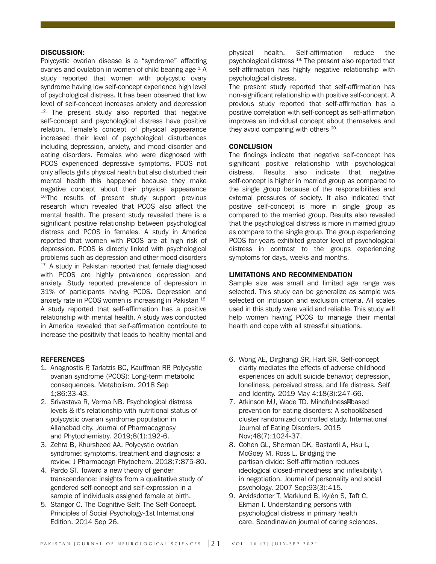#### DISCUSSION:

Polycystic ovarian disease is a "syndrome" affecting ovaries and ovulation in women of child bearing age  $1.4$ . study reported that women with polycystic ovary syndrome having low self-concept experience high level of psychological distress. It has been observed that low level of self-concept increases anxiety and depression  $12$ . The present study also reported that negative self-concept and psychological distress have positive relation. Female's concept of physical appearance increased their level of psychological disturbances including depression, anxiety, and mood disorder and eating disorders. Females who were diagnosed with PCOS experienced depressive symptoms. PCOS not only affects girl's physical health but also disturbed their mental health this happened because they make negative concept about their physical appearance <sup>16.</sup>The results of present study support previous research which revealed that PCOS also affect the mental health. The present study revealed there is a significant positive relationship between psychological distress and PCOS in females. A study in America reported that women with PCOS are at high risk of depression. PCOS is directly linked with psychological problems such as depression and other mood disorders <sup>17.</sup> A study in Pakistan reported that female diagnosed with PCOS are highly prevalence depression and anxiety. Study reported prevalence of depression in 31% of participants having PCOS. Depression and anxiety rate in PCOS women is increasing in Pakistan 18. A study reported that self-affirmation has a positive relationship with mental health. A study was conducted in America revealed that self-affirmation contribute to increase the positivity that leads to healthy mental and

#### **REFERENCES**

- 1. Anagnostis P, Tarlatzis BC, Kauffman RP. Polycystic ovarian syndrome (PCOS): Long-term metabolic consequences. Metabolism. 2018 Sep 1;86:33-43.
- 2. Srivastava R, Verma NB. Psychological distress levels & it's relationship with nutritional status of polycystic ovarian syndrome population in Allahabad city. Journal of Pharmacognosy and Phytochemistry. 2019;8(1):192-6.
- 3. Zehra B, Khursheed AA. Polycystic ovarian syndrome: symptoms, treatment and diagnosis: a review. J Pharmacogn Phytochem. 2018;7:875-80.
- 4. Pardo ST. Toward a new theory of gender transcendence: insights from a qualitative study of gendered self-concept and self-expression in a sample of individuals assigned female at birth.
- 5. Stangor C. The Cognitive Self: The Self-Concept. Principles of Social Psychology-1st International Edition. 2014 Sep 26.

physical health. Self-affirmation reduce the psychological distress 19. The present also reported that self-affirmation has highly negative relationship with psychological distress.

The present study reported that self-affirmation has non-significant relationship with positive self-concept. A previous study reported that self-affirmation has a positive correlation with self-concept as self-affirmation improves an individual concept about themselves and they avoid comparing with others <sup>20.</sup>

#### **CONCLUSION**

The findings indicate that negative self-concept has significant positive relationship with psychological distress. Results also indicate that negative self-concept is higher in married group as compared to the single group because of the responsibilities and external pressures of society. It also indicated that positive self-concept is more in single group as compared to the married group. Results also revealed that the psychological distress is more in married group as compare to the single group. The group experiencing PCOS for years exhibited greater level of psychological distress in contrast to the groups experiencing symptoms for days, weeks and months.

#### LIMITATIONS AND RECOMMENDATION

Sample size was small and limited age range was selected. This study can be generalize as sample was selected on inclusion and exclusion criteria. All scales used in this study were valid and reliable. This study will help women having PCOS to manage their mental health and cope with all stressful situations.

- 6. Wong AE, Dirghangi SR, Hart SR. Self-concept clarity mediates the effects of adverse childhood experiences on adult suicide behavior, depression, loneliness, perceived stress, and life distress. Self and Identity. 2019 May 4;18(3):247-66.
- 7. Atkinson MJ, Wade TD. Mindfulness based prevention for eating disorders: A school based cluster randomized controlled study. International Journal of Eating Disorders. 2015 Nov;48(7):1024-37.
- 8. Cohen GL, Sherman DK, Bastardi A, Hsu L, McGoey M, Ross L. Bridging the partisan divide: Self-affirmation reduces ideological closed-mindedness and inflexibility \ in negotiation. Journal of personality and social psychology. 2007 Sep;93(3):415.
- 9. Arvidsdotter T, Marklund B, Kylén S, Taft C, Ekman I. Understanding persons with psychological distress in primary health care. Scandinavian journal of caring sciences.